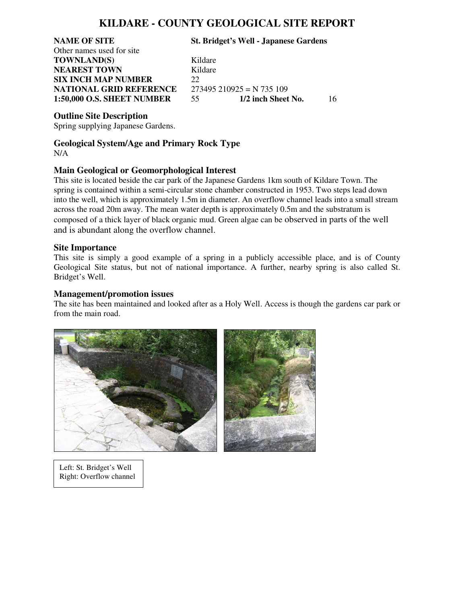## **KILDARE - COUNTY GEOLOGICAL SITE REPORT**

Other names used for site **TOWNLAND(S)** Kildare **NEAREST TOWN** Kildare **SIX INCH MAP NUMBER** 22

**NAME OF SITE St. Bridget's Well - Japanese Gardens**

**NATIONAL GRID REFERENCE** 273495 210925 = N 735 109<br>1:50,000 O.S. SHEET NUMBER 55 1/2 inch Sheet No. **1:50,000 O.S. SHEET NUMBER** 55 **1/2 inch Sheet No.** 16

#### **Outline Site Description**

Spring supplying Japanese Gardens.

### **Geological System/Age and Primary Rock Type**  N/A

### **Main Geological or Geomorphological Interest**

This site is located beside the car park of the Japanese Gardens 1km south of Kildare Town. The spring is contained within a semi-circular stone chamber constructed in 1953. Two steps lead down into the well, which is approximately 1.5m in diameter. An overflow channel leads into a small stream across the road 20m away. The mean water depth is approximately 0.5m and the substratum is composed of a thick layer of black organic mud. Green algae can be observed in parts of the well and is abundant along the overflow channel.

#### **Site Importance**

This site is simply a good example of a spring in a publicly accessible place, and is of County Geological Site status, but not of national importance. A further, nearby spring is also called St. Bridget's Well.

### **Management/promotion issues**

The site has been maintained and looked after as a Holy Well. Access is though the gardens car park or from the main road.



Left: St. Bridget's Well Right: Overflow channel